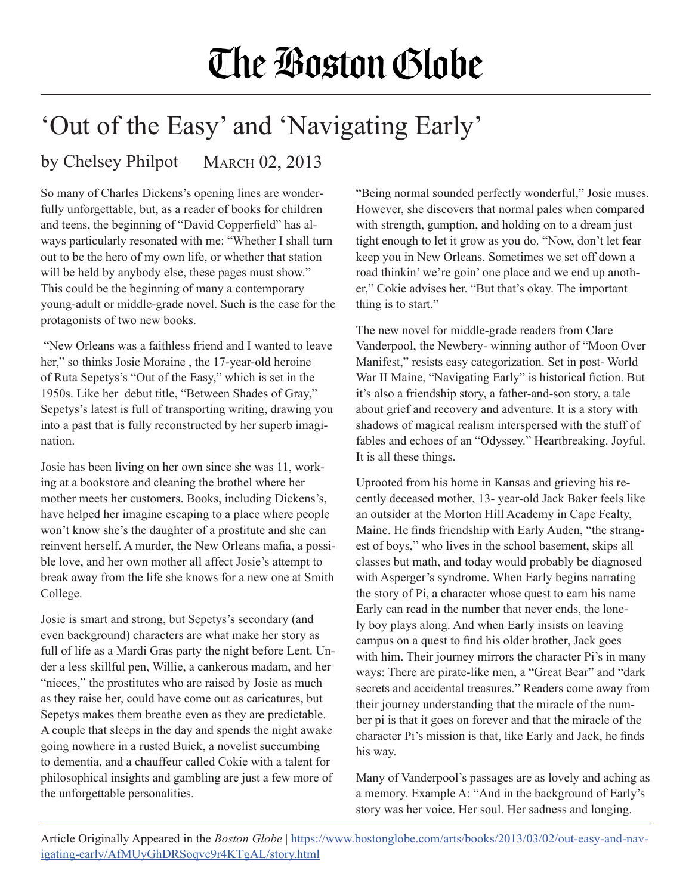## The Boston Globe

## 'Out of the Easy' and 'Navigating Early'

## by Chelsey Philpot MARCH 02, 2013

So many of Charles Dickens's opening lines are wonderfully unforgettable, but, as a reader of books for children and teens, the beginning of "David Copperfield" has always particularly resonated with me: "Whether I shall turn out to be the hero of my own life, or whether that station will be held by anybody else, these pages must show." This could be the beginning of many a contemporary young-adult or middle-grade novel. Such is the case for the protagonists of two new books.

 "New Orleans was a faithless friend and I wanted to leave her," so thinks Josie Moraine, the 17-year-old heroine of Ruta Sepetys's "Out of the Easy," which is set in the 1950s. Like her debut title, "Between Shades of Gray," Sepetys's latest is full of transporting writing, drawing you into a past that is fully reconstructed by her superb imagination.

Josie has been living on her own since she was 11, working at a bookstore and cleaning the brothel where her mother meets her customers. Books, including Dickens's, have helped her imagine escaping to a place where people won't know she's the daughter of a prostitute and she can reinvent herself. A murder, the New Orleans mafia, a possible love, and her own mother all affect Josie's attempt to break away from the life she knows for a new one at Smith College.

Josie is smart and strong, but Sepetys's secondary (and even background) characters are what make her story as full of life as a Mardi Gras party the night before Lent. Under a less skillful pen, Willie, a cankerous madam, and her "nieces," the prostitutes who are raised by Josie as much as they raise her, could have come out as caricatures, but Sepetys makes them breathe even as they are predictable. A couple that sleeps in the day and spends the night awake going nowhere in a rusted Buick, a novelist succumbing to dementia, and a chauffeur called Cokie with a talent for philosophical insights and gambling are just a few more of the unforgettable personalities.

"Being normal sounded perfectly wonderful," Josie muses. However, she discovers that normal pales when compared with strength, gumption, and holding on to a dream just tight enough to let it grow as you do. "Now, don't let fear keep you in New Orleans. Sometimes we set off down a road thinkin' we're goin' one place and we end up another," Cokie advises her. "But that's okay. The important thing is to start."

The new novel for middle-grade readers from Clare Vanderpool, the Newbery- winning author of "Moon Over Manifest," resists easy categorization. Set in post- World War II Maine, "Navigating Early" is historical fiction. But it's also a friendship story, a father-and-son story, a tale about grief and recovery and adventure. It is a story with shadows of magical realism interspersed with the stuff of fables and echoes of an "Odyssey." Heartbreaking. Joyful. It is all these things.

Uprooted from his home in Kansas and grieving his recently deceased mother, 13- year-old Jack Baker feels like an outsider at the Morton Hill Academy in Cape Fealty, Maine. He finds friendship with Early Auden, "the strangest of boys," who lives in the school basement, skips all classes but math, and today would probably be diagnosed with Asperger's syndrome. When Early begins narrating the story of Pi, a character whose quest to earn his name Early can read in the number that never ends, the lonely boy plays along. And when Early insists on leaving campus on a quest to find his older brother, Jack goes with him. Their journey mirrors the character Pi's in many ways: There are pirate-like men, a "Great Bear" and "dark secrets and accidental treasures." Readers come away from their journey understanding that the miracle of the number pi is that it goes on forever and that the miracle of the character Pi's mission is that, like Early and Jack, he finds his way.

Many of Vanderpool's passages are as lovely and aching as a memory. Example A: "And in the background of Early's story was her voice. Her soul. Her sadness and longing.

Article Originally Appeared in the *Boston Globe* | [https://www.bostonglobe.com/arts/books/2013/03/02/out-easy-and-nav](https://www.bostonglobe.com/arts/books/2013/03/02/out-easy-and-navigating-early/AfMUyGhDRSoqvc9r4KTg)[igating-early/AfMUyGhDRSoqvc9r4KTgAL/story.html](https://www.bostonglobe.com/arts/books/2013/03/02/out-easy-and-navigating-early/AfMUyGhDRSoqvc9r4KTg)